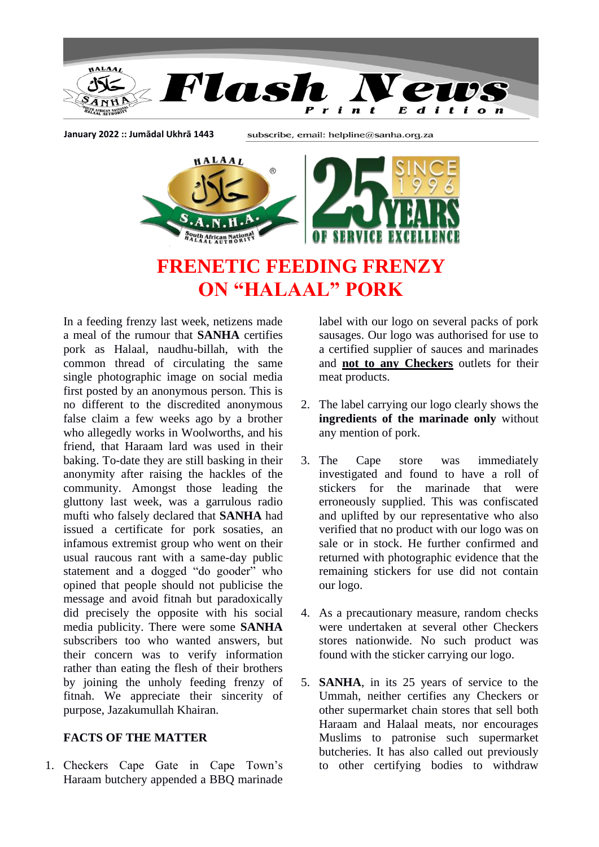

**January 2022 :: Jumādal Ukhrā 1443**

subscribe, email: helpline@sanha.org.za



**FRENETIC FEEDING FRENZY ON "HALAAL" PORK**

In a feeding frenzy last week, netizens made a meal of the rumour that **SANHA** certifies pork as Halaal, naudhu-billah, with the common thread of circulating the same single photographic image on social media first posted by an anonymous person. This is no different to the discredited anonymous false claim a few weeks ago by a brother who allegedly works in Woolworths, and his friend, that Haraam lard was used in their baking. To-date they are still basking in their anonymity after raising the hackles of the community. Amongst those leading the gluttony last week, was a garrulous radio mufti who falsely declared that **SANHA** had issued a certificate for pork sosaties, an infamous extremist group who went on their usual raucous rant with a same-day public statement and a dogged "do gooder" who opined that people should not publicise the message and avoid fitnah but paradoxically did precisely the opposite with his social media publicity. There were some **SANHA** subscribers too who wanted answers, but their concern was to verify information rather than eating the flesh of their brothers by joining the unholy feeding frenzy of fitnah. We appreciate their sincerity of purpose, Jazakumullah Khairan.

## **FACTS OF THE MATTER**

1. Checkers Cape Gate in Cape Town's Haraam butchery appended a BBQ marinade

label with our logo on several packs of pork sausages. Our logo was authorised for use to a certified supplier of sauces and marinades and **not to any Checkers** outlets for their meat products.

- 2. The label carrying our logo clearly shows the **ingredients of the marinade only** without any mention of pork.
- 3. The Cape store was immediately investigated and found to have a roll of stickers for the marinade that were erroneously supplied. This was confiscated and uplifted by our representative who also verified that no product with our logo was on sale or in stock. He further confirmed and returned with photographic evidence that the remaining stickers for use did not contain our logo.
- 4. As a precautionary measure, random checks were undertaken at several other Checkers stores nationwide. No such product was found with the sticker carrying our logo.
- 5. **SANHA**, in its 25 years of service to the Ummah, neither certifies any Checkers or other supermarket chain stores that sell both Haraam and Halaal meats, nor encourages Muslims to patronise such supermarket butcheries. It has also called out previously to other certifying bodies to withdraw